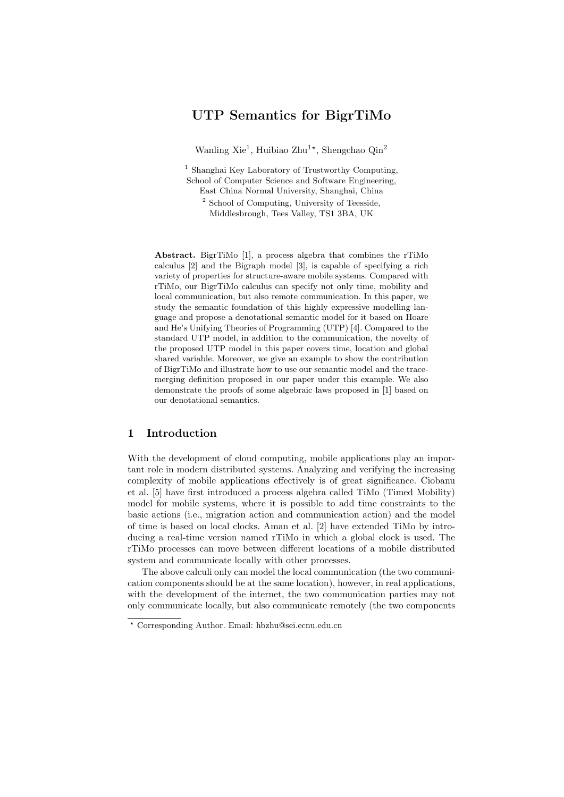# UTP Semantics for BigrTiMo

Wanling Xie<sup>1</sup>, Huibiao Zhu<sup>1\*</sup>, Shengchao Qin<sup>2</sup>

<sup>1</sup> Shanghai Key Laboratory of Trustworthy Computing, School of Computer Science and Software Engineering, East China Normal University, Shanghai, China

<sup>2</sup> School of Computing, University of Teesside, Middlesbrough, Tees Valley, TS1 3BA, UK

Abstract. BigrTiMo [1], a process algebra that combines the rTiMo calculus [2] and the Bigraph model [3], is capable of specifying a rich variety of properties for structure-aware mobile systems. Compared with rTiMo, our BigrTiMo calculus can specify not only time, mobility and local communication, but also remote communication. In this paper, we study the semantic foundation of this highly expressive modelling language and propose a denotational semantic model for it based on Hoare and He's Unifying Theories of Programming (UTP) [4]. Compared to the standard UTP model, in addition to the communication, the novelty of the proposed UTP model in this paper covers time, location and global shared variable. Moreover, we give an example to show the contribution of BigrTiMo and illustrate how to use our semantic model and the tracemerging definition proposed in our paper under this example. We also demonstrate the proofs of some algebraic laws proposed in [1] based on our denotational semantics.

# 1 Introduction

With the development of cloud computing, mobile applications play an important role in modern distributed systems. Analyzing and verifying the increasing complexity of mobile applications effectively is of great significance. Ciobanu et al. [5] have first introduced a process algebra called TiMo (Timed Mobility) model for mobile systems, where it is possible to add time constraints to the basic actions (i.e., migration action and communication action) and the model of time is based on local clocks. Aman et al. [2] have extended TiMo by introducing a real-time version named rTiMo in which a global clock is used. The rTiMo processes can move between different locations of a mobile distributed system and communicate locally with other processes.

The above calculi only can model the local communication (the two communication components should be at the same location), however, in real applications, with the development of the internet, the two communication parties may not only communicate locally, but also communicate remotely (the two components

<sup>?</sup> Corresponding Author. Email: hbzhu@sei.ecnu.edu.cn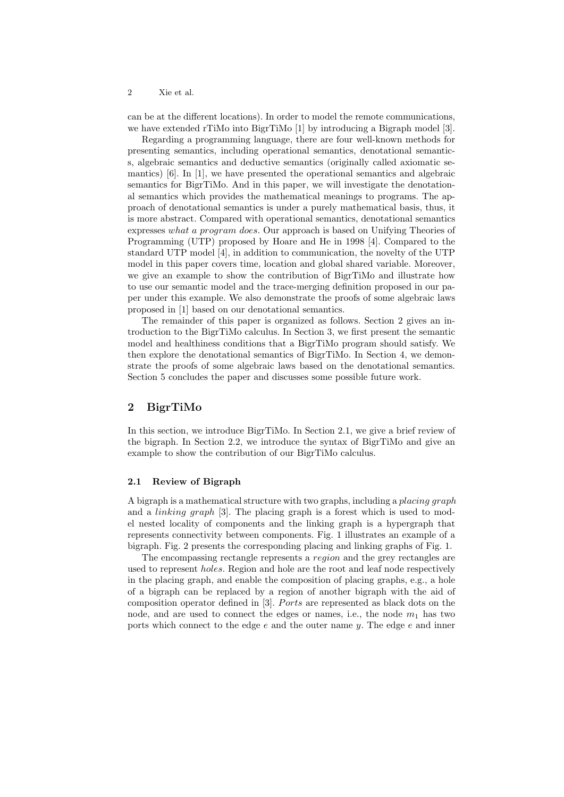can be at the different locations). In order to model the remote communications, we have extended rTiMo into BigrTiMo [1] by introducing a Bigraph model [3].

Regarding a programming language, there are four well-known methods for presenting semantics, including operational semantics, denotational semantics, algebraic semantics and deductive semantics (originally called axiomatic semantics) [6]. In [1], we have presented the operational semantics and algebraic semantics for BigrTiMo. And in this paper, we will investigate the denotational semantics which provides the mathematical meanings to programs. The approach of denotational semantics is under a purely mathematical basis, thus, it is more abstract. Compared with operational semantics, denotational semantics expresses what a program does. Our approach is based on Unifying Theories of Programming (UTP) proposed by Hoare and He in 1998 [4]. Compared to the standard UTP model [4], in addition to communication, the novelty of the UTP model in this paper covers time, location and global shared variable. Moreover, we give an example to show the contribution of BigrTiMo and illustrate how to use our semantic model and the trace-merging definition proposed in our paper under this example. We also demonstrate the proofs of some algebraic laws proposed in [1] based on our denotational semantics.

The remainder of this paper is organized as follows. Section 2 gives an introduction to the BigrTiMo calculus. In Section 3, we first present the semantic model and healthiness conditions that a BigrTiMo program should satisfy. We then explore the denotational semantics of BigrTiMo. In Section 4, we demonstrate the proofs of some algebraic laws based on the denotational semantics. Section 5 concludes the paper and discusses some possible future work.

# 2 BigrTiMo

In this section, we introduce BigrTiMo. In Section 2.1, we give a brief review of the bigraph. In Section 2.2, we introduce the syntax of BigrTiMo and give an example to show the contribution of our BigrTiMo calculus.

#### 2.1 Review of Bigraph

A bigraph is a mathematical structure with two graphs, including a placing graph and a linking graph [3]. The placing graph is a forest which is used to model nested locality of components and the linking graph is a hypergraph that represents connectivity between components. Fig. 1 illustrates an example of a bigraph. Fig. 2 presents the corresponding placing and linking graphs of Fig. 1.

The encompassing rectangle represents a region and the grey rectangles are used to represent holes. Region and hole are the root and leaf node respectively in the placing graph, and enable the composition of placing graphs, e.g., a hole of a bigraph can be replaced by a region of another bigraph with the aid of composition operator defined in  $[3]$ . Ports are represented as black dots on the node, and are used to connect the edges or names, i.e., the node  $m_1$  has two ports which connect to the edge  $e$  and the outer name  $y$ . The edge  $e$  and inner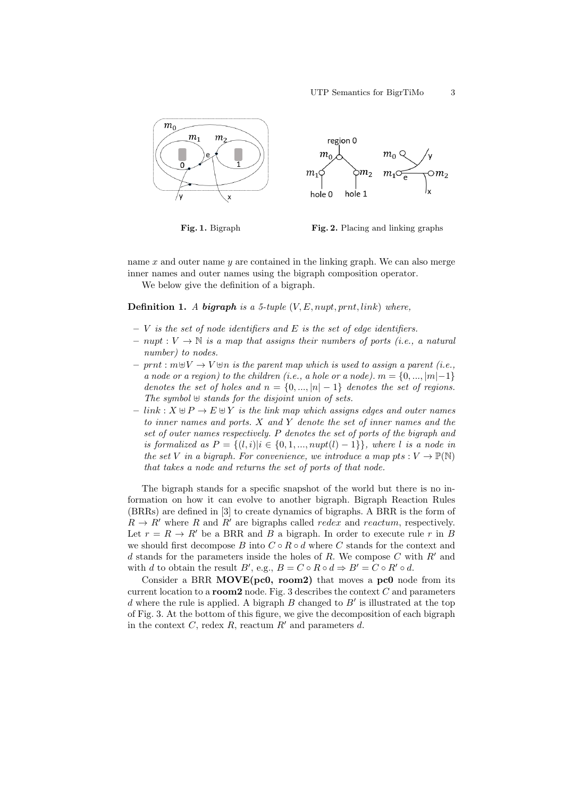



name  $x$  and outer name  $y$  are contained in the linking graph. We can also merge inner names and outer names using the bigraph composition operator.

We below give the definition of a bigraph.

**Definition 1.** A bigraph is a 5-tuple  $(V, E, nupt, prnt, link)$  where,

- $V$  is the set of node identifiers and E is the set of edge identifiers.
- $-$  nupt :  $V \to \mathbb{N}$  is a map that assigns their numbers of ports (i.e., a natural number) to nodes.
- $-$  prnt :  $m \oplus V \rightarrow V \oplus n$  is the parent map which is used to assign a parent (i.e., a node or a region) to the children (i.e., a hole or a node).  $m = \{0, ..., |m|-1\}$ denotes the set of holes and  $n = \{0, ..., |n| - 1\}$  denotes the set of regions. The symbol  $\uplus$  stands for the disjoint union of sets.
- $-$  link :  $X \oplus P \rightarrow E \oplus Y$  is the link map which assigns edges and outer names to inner names and ports. X and Y denote the set of inner names and the set of outer names respectively. P denotes the set of ports of the bigraph and is formalized as  $P = \{(l, i)|i \in \{0, 1, ..., nupt(l) - 1\}\}\$ , where l is a node in the set V in a bigraph. For convenience, we introduce a map pts :  $V \to \mathbb{P}(\mathbb{N})$ that takes a node and returns the set of ports of that node.

The bigraph stands for a specific snapshot of the world but there is no information on how it can evolve to another bigraph. Bigraph Reaction Rules (BRRs) are defined in [3] to create dynamics of bigraphs. A BRR is the form of  $R \to R'$  where R and R' are bigraphs called redex and reactum, respectively. Let  $r = R \rightarrow R'$  be a BRR and B a bigraph. In order to execute rule r in B we should first decompose B into  $C \circ R \circ d$  where C stands for the context and d stands for the parameters inside the holes of R. We compose  $C$  with  $R'$  and with d to obtain the result B', e.g.,  $B = C \circ R \circ d \Rightarrow B' = C \circ R' \circ d$ .

Consider a BRR MOVE(pc0, room2) that moves a pc0 node from its current location to a **room2** node. Fig. 3 describes the context  $C$  and parameters  $d$  where the rule is applied. A bigraph  $B$  changed to  $B'$  is illustrated at the top of Fig. 3. At the bottom of this figure, we give the decomposition of each bigraph in the context  $C$ , redex  $R$ , reactum  $R'$  and parameters  $d$ .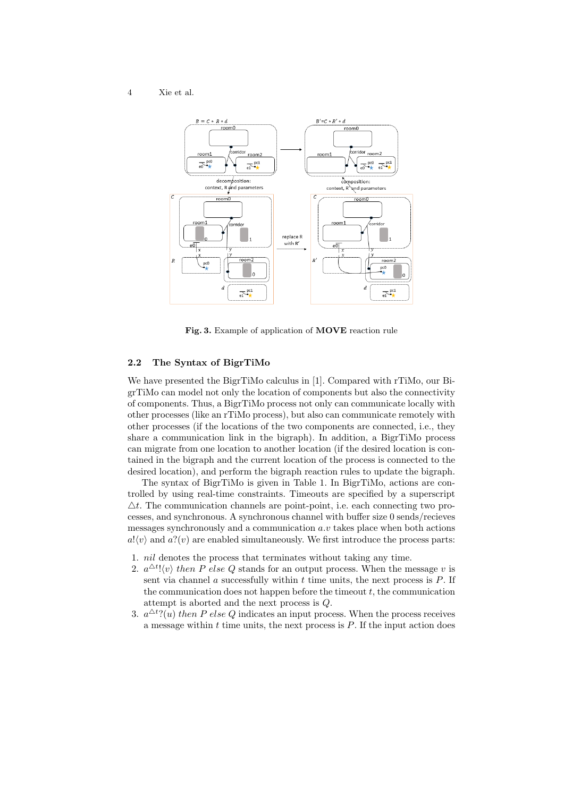

Fig. 3. Example of application of MOVE reaction rule

### 2.2 The Syntax of BigrTiMo

We have presented the BigrTiMo calculus in [1]. Compared with rTiMo, our BigrTiMo can model not only the location of components but also the connectivity of components. Thus, a BigrTiMo process not only can communicate locally with other processes (like an rTiMo process), but also can communicate remotely with other processes (if the locations of the two components are connected, i.e., they share a communication link in the bigraph). In addition, a BigrTiMo process can migrate from one location to another location (if the desired location is contained in the bigraph and the current location of the process is connected to the desired location), and perform the bigraph reaction rules to update the bigraph.

The syntax of BigrTiMo is given in Table 1. In BigrTiMo, actions are controlled by using real-time constraints. Timeouts are specified by a superscript  $\Delta t$ . The communication channels are point-point, i.e. each connecting two processes, and synchronous. A synchronous channel with buffer size 0 sends/recieves messages synchronously and a communication  $a.v$  takes place when both actions  $a! \langle v \rangle$  and  $a? \langle v \rangle$  are enabled simultaneously. We first introduce the process parts:

- 1. nil denotes the process that terminates without taking any time.
- 2.  $a^{\Delta t}! \langle v \rangle$  then P else Q stands for an output process. When the message v is sent via channel  $a$  successfully within  $t$  time units, the next process is  $P$ . If the communication does not happen before the timeout  $t$ , the communication attempt is aborted and the next process is Q.
- 3.  $a^{\Delta t}$ ?(u) then P else Q indicates an input process. When the process receives a message within  $t$  time units, the next process is  $P$ . If the input action does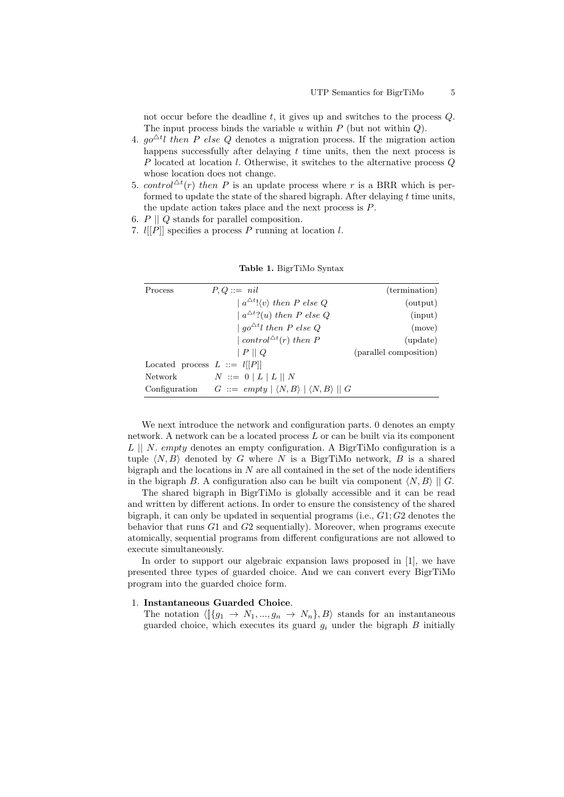not occur before the deadline  $t$ , it gives up and switches to the process  $Q$ . The input process binds the variable u within  $P$  (but not within  $Q$ ).

- 4.  $g\circ \Delta t$  then P else Q denotes a migration process. If the migration action happens successfully after delaying  $t$  time units, then the next process is P located at location l. Otherwise, it switches to the alternative process Q whose location does not change.
- 5. control<sup> $\triangle t$ </sup>(r) then P is an update process where r is a BRR which is performed to update the state of the shared bigraph. After delaying  $t$  time units, the update action takes place and the next process is P.
- 6.  $P \parallel Q$  stands for parallel composition.
- 7.  $l[[P]]$  specifies a process P running at location l.

| Process                        | $P, Q ::= nil$                                                                | (termination)          |
|--------------------------------|-------------------------------------------------------------------------------|------------------------|
|                                | $ a^{\Delta t}! \langle v \rangle$ then P else Q                              | (output)               |
|                                | $a^{\Delta t}$ ?( <i>u</i> ) then P else Q                                    | (nput)                 |
|                                | $\int qo^{\Delta t}l$ then P else Q                                           | (move)                 |
|                                | control $\triangle$ <sup>t</sup> (r) then P                                   | $(\text{update})$      |
|                                | P  Q                                                                          | (parallel composition) |
| Located process $L ::= l[[P]]$ |                                                                               |                        |
| Network                        | $N \ ::= \ 0 \mid L \mid L \parallel N$                                       |                        |
|                                | Configuration $G ::= empty   \langle N, B \rangle   \langle N, B \rangle   G$ |                        |

Table 1. BigrTiMo Syntax

We next introduce the network and configuration parts. 0 denotes an empty network. A network can be a located process L or can be built via its component  $L \parallel N$ . empty denotes an empty configuration. A BigrTiMo configuration is a tuple  $\langle N, B \rangle$  denoted by G where N is a BigrTiMo network, B is a shared bigraph and the locations in  $N$  are all contained in the set of the node identifiers in the bigraph B. A configuration also can be built via component  $\langle N, B \rangle || G$ .

The shared bigraph in BigrTiMo is globally accessible and it can be read and written by different actions. In order to ensure the consistency of the shared bigraph, it can only be updated in sequential programs (i.e.,  $G1$ ;  $G2$  denotes the behavior that runs G1 and G2 sequentially). Moreover, when programs execute atomically, sequential programs from different configurations are not allowed to execute simultaneously.

In order to support our algebraic expansion laws proposed in [1], we have presented three types of guarded choice. And we can convert every BigrTiMo program into the guarded choice form.

#### 1. Instantaneous Guarded Choice.

The notation  $\langle \lbrack \{g_1 \to N_1, ..., g_n \to N_n\}, B \rangle$  stands for an instantaneous guarded choice, which executes its guard  $g_i$  under the bigraph  $B$  initially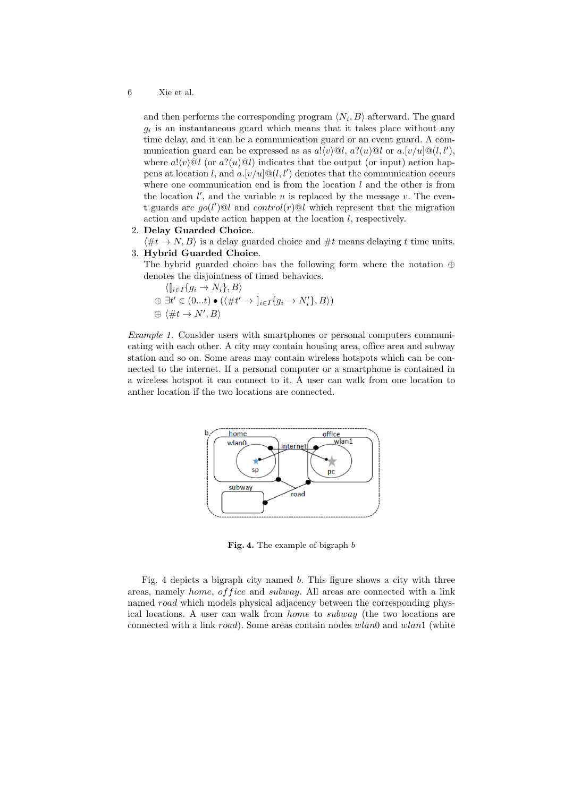and then performs the corresponding program  $\langle N_i, B \rangle$  afterward. The guard  $g_i$  is an instantaneous guard which means that it takes place without any time delay, and it can be a communication guard or an event guard. A communication guard can be expressed as as  $a!(v)@l, a?(u)@l$  or  $a.[v/u]@(l, l'),$ where  $a! \langle v \rangle \mathbb{Q}l$  (or  $a? \langle u \rangle \mathbb{Q}l$ ) indicates that the output (or input) action happens at location l, and  $a.[v/u] \mathcal{Q}(l,l')$  denotes that the communication occurs where one communication end is from the location  $l$  and the other is from the location  $l'$ , and the variable  $u$  is replaced by the message  $v$ . The event guards are  $g o(l') @ l$  and  $control(r) @ l$  which represent that the migration action and update action happen at the location l, respectively.

2. Delay Guarded Choice.

 $\langle \#t \to N, B \rangle$  is a delay guarded choice and  $\#t$  means delaying t time units. 3. Hybrid Guarded Choice.

The hybrid guarded choice has the following form where the notation ⊕ denotes the disjointness of timed behaviors.

 $\langle \|_{i\in I} \{g_i \to N_i\}, B \rangle$ 

- $\oplus \exists t' \in (0...t) \bullet (\langle \#t' \rightarrow \lbrack\! \rbrack_{i \in I} \{g_i \rightarrow N'_i\}, B \rangle)$
- $\oplus \langle \#t \to N', B \rangle$

Example 1. Consider users with smartphones or personal computers communicating with each other. A city may contain housing area, office area and subway station and so on. Some areas may contain wireless hotspots which can be connected to the internet. If a personal computer or a smartphone is contained in a wireless hotspot it can connect to it. A user can walk from one location to anther location if the two locations are connected.



Fig. 4. The example of bigraph b

Fig. 4 depicts a bigraph city named b. This figure shows a city with three areas, namely *home, of fice* and *subway*. All areas are connected with a link named *road* which models physical adjacency between the corresponding physical locations. A user can walk from home to subway (the two locations are connected with a link road). Some areas contain nodes wlan0 and wlan1 (white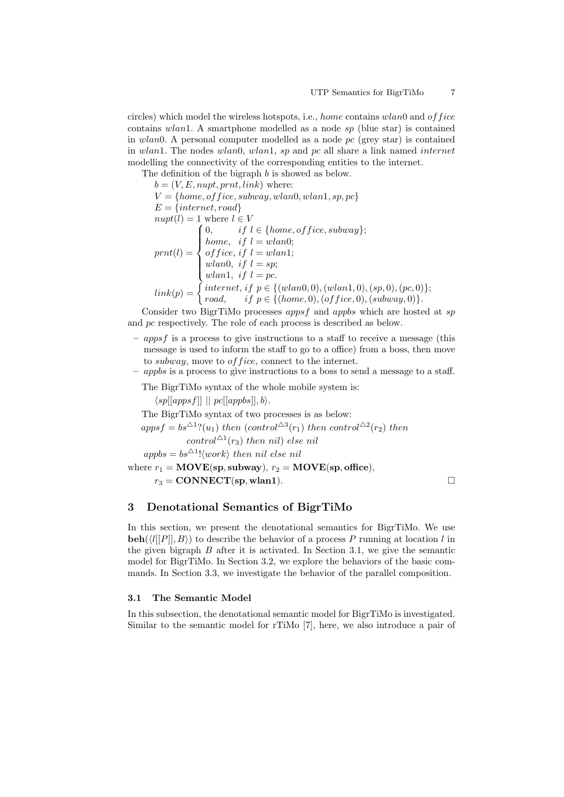circles) which model the wireless hotspots, i.e., home contains  $wlan0$  and  $of$  fice contains wlan1. A smartphone modelled as a node  $sp$  (blue star) is contained in wlan0. A personal computer modelled as a node  $pc$  (grey star) is contained in wlan1. The nodes wlan0, wlan1, sp and pc all share a link named internet modelling the connectivity of the corresponding entities to the internet.

The definition of the bigraph b is showed as below.

 $b = (V, E, nupt, prnt, link)$  where:  $V = \{home, of face, subway, wlan0, wlan1, sp, pc\}$  $E = \{internet, road\}$  $nupt(l) = 1$  where  $l \in V$  $prnt(l) =$  $\sqrt{ }$  $\Big\}$  $\overline{\mathcal{L}}$ 0, if  $l \in \{home, of\,, subway\};$ home, if  $l = wlan0;$ of fice, if  $l = wlan1;$ wlan0, if  $l = sp$ ; wlan1, if  $l = pc$ .  $link(p) = \begin{cases}$  internet, if  $p \in \{ (wlan0, 0), (wlan1, 0), (sp, 0), (pc, 0) \}; \\$ road, if  $p \in \{(home, 0), (offsetice, 0), (subway, 0)\}.$ 

Consider two BigrTiMo processes apps f and appbs which are hosted at sp and pc respectively. The role of each process is described as below.

- $-$  apps f is a process to give instructions to a staff to receive a message (this message is used to inform the staff to go to a office) from a boss, then move to *subway*, move to *of fice*, connect to the internet.
- appbs is a process to give instructions to a boss to send a message to a staff.

The BigrTiMo syntax of the whole mobile system is:

 $\langle sp[[appsf]] \mid | pc[[appbs]], b \rangle.$ 

The BigrTiMo syntax of two processes is as below:

```
appsf = bs^{\Delta 1}?(u<sub>1</sub>) then (control<sup>\Delta 3</sup>(r<sub>1</sub>) then control<sup>\Delta 2</sup>(r<sub>2</sub>) then
                    control^{\Delta 1}(r_3) then nil) else nil
```
 $appbs = bs^{\triangle 1}! \langle work \rangle$  then nil else nil

where  $r_1 = \text{MOVE(sp, subway}), r_2 = \text{MOVE(sp, office)},$ 

 $r_3 = \text{CONNET}(\text{sp}, \text{wlan1}).$ 

# 3 Denotational Semantics of BigrTiMo

In this section, we present the denotational semantics for BigrTiMo. We use **beh**( $\langle l[[P]], B \rangle$ ) to describe the behavior of a process P running at location l in the given bigraph  $B$  after it is activated. In Section 3.1, we give the semantic model for BigrTiMo. In Section 3.2, we explore the behaviors of the basic commands. In Section 3.3, we investigate the behavior of the parallel composition.

#### 3.1 The Semantic Model

In this subsection, the denotational semantic model for BigrTiMo is investigated. Similar to the semantic model for rTiMo [7], here, we also introduce a pair of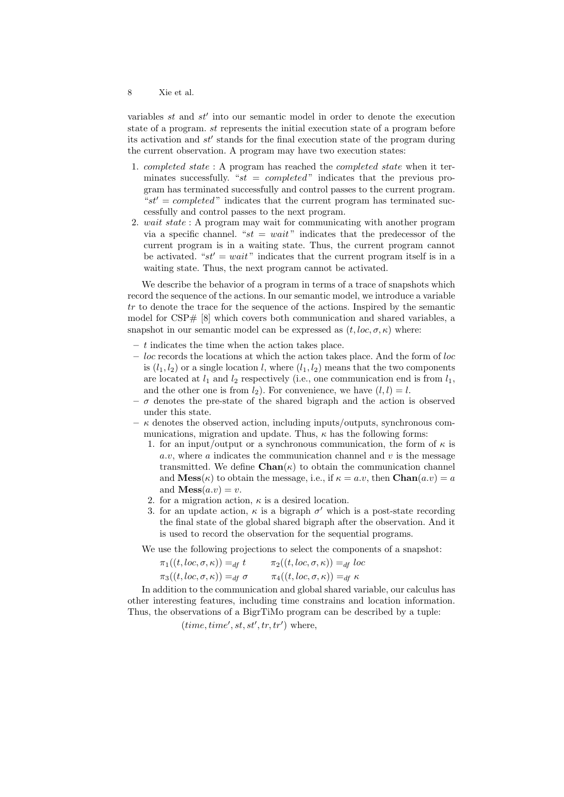variables  $st$  and  $st'$  into our semantic model in order to denote the execution state of a program. st represents the initial execution state of a program before its activation and  $st'$  stands for the final execution state of the program during the current observation. A program may have two execution states:

- 1. completed state : A program has reached the completed state when it terminates successfully. " $st = completed$ " indicates that the previous program has terminated successfully and control passes to the current program. " $st' = completed$ " indicates that the current program has terminated successfully and control passes to the next program.
- 2. wait state : A program may wait for communicating with another program via a specific channel. " $st = wait$ " indicates that the predecessor of the current program is in a waiting state. Thus, the current program cannot be activated. " $st' = wait$ " indicates that the current program itself is in a waiting state. Thus, the next program cannot be activated.

We describe the behavior of a program in terms of a trace of snapshots which record the sequence of the actions. In our semantic model, we introduce a variable tr to denote the trace for the sequence of the actions. Inspired by the semantic model for  $CSP# [8]$  which covers both communication and shared variables, a snapshot in our semantic model can be expressed as  $(t, loc, \sigma, \kappa)$  where:

- $t$  indicates the time when the action takes place.
- $-$  loc records the locations at which the action takes place. And the form of loc is  $(l_1, l_2)$  or a single location l, where  $(l_1, l_2)$  means that the two components are located at  $l_1$  and  $l_2$  respectively (i.e., one communication end is from  $l_1$ , and the other one is from  $l_2$ ). For convenience, we have  $(l, l) = l$ .
- $\sigma$  denotes the pre-state of the shared bigraph and the action is observed under this state.
- $\kappa$  denotes the observed action, including inputs/outputs, synchronous communications, migration and update. Thus,  $\kappa$  has the following forms:
	- 1. for an input/output or a synchronous communication, the form of  $\kappa$  is  $a.v.$  where a indicates the communication channel and v is the message transmitted. We define  $\text{Chan}(\kappa)$  to obtain the communication channel and  $\mathbf{Mess}(\kappa)$  to obtain the message, i.e., if  $\kappa = a.v$ , then  $\mathbf{Chan}(a.v) = a$ and  $$
	- 2. for a migration action,  $\kappa$  is a desired location.
	- 3. for an update action,  $\kappa$  is a bigraph  $\sigma'$  which is a post-state recording the final state of the global shared bigraph after the observation. And it is used to record the observation for the sequential programs.

We use the following projections to select the components of a snapshot:

| $\pi_1((t, loc, \sigma, \kappa)) =_{df} t$      | $\pi_2((t, loc, \sigma, \kappa)) =_{df} loc$ |
|-------------------------------------------------|----------------------------------------------|
| $\pi_3((t, loc, \sigma, \kappa)) =_{df} \sigma$ | $\pi_4((t,loc,\sigma,\kappa)) =_{df} \kappa$ |

In addition to the communication and global shared variable, our calculus has other interesting features, including time constrains and location information. Thus, the observations of a BigrTiMo program can be described by a tuple:

 $(time, time', st, st', tr, tr')$  where,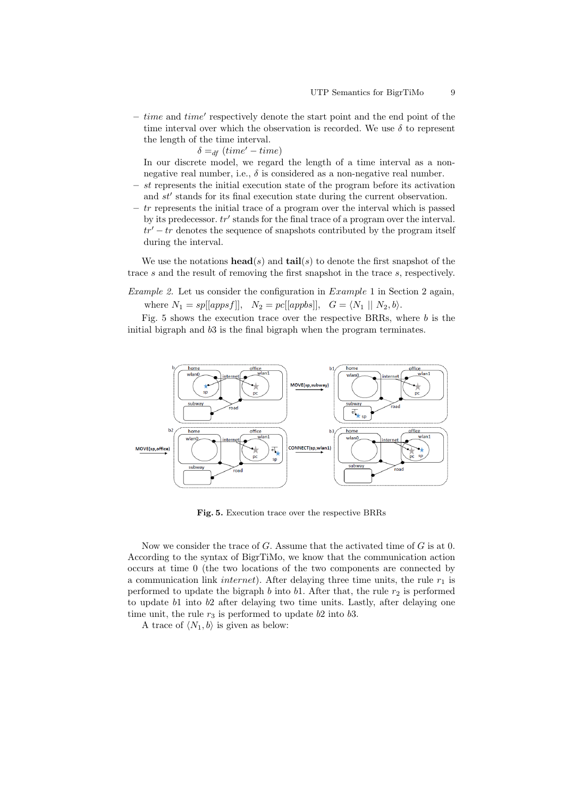$-$  time and time' respectively denote the start point and the end point of the time interval over which the observation is recorded. We use  $\delta$  to represent the length of the time interval.

 $\delta =_{df} (time' - time)$ 

In our discrete model, we regard the length of a time interval as a nonnegative real number, i.e.,  $\delta$  is considered as a non-negative real number.

- st represents the initial execution state of the program before its activation and  $st'$  stands for its final execution state during the current observation.
- $-$  tr represents the initial trace of a program over the interval which is passed by its predecessor.  $tr'$  stands for the final trace of a program over the interval.  $tr' - tr$  denotes the sequence of snapshots contributed by the program itself during the interval.

We use the notations  $head(s)$  and  $tail(s)$  to denote the first snapshot of the trace s and the result of removing the first snapshot in the trace s, respectively.

Example 2. Let us consider the configuration in Example 1 in Section 2 again, where  $N_1 = sp[[appsf]], N_2 = pc[[appbs]], G = \langle N_1 || N_2, b \rangle.$ 

Fig. 5 shows the execution trace over the respective BRRs, where  $b$  is the initial bigraph and b3 is the final bigraph when the program terminates.



Fig. 5. Execution trace over the respective BRRs

Now we consider the trace of G. Assume that the activated time of G is at 0. According to the syntax of BigrTiMo, we know that the communication action occurs at time 0 (the two locations of the two components are connected by a communication link *internet*). After delaying three time units, the rule  $r_1$  is performed to update the bigraph b into b1. After that, the rule  $r_2$  is performed to update b1 into b2 after delaying two time units. Lastly, after delaying one time unit, the rule  $r_3$  is performed to update b2 into b3.

A trace of  $\langle N_1, b \rangle$  is given as below: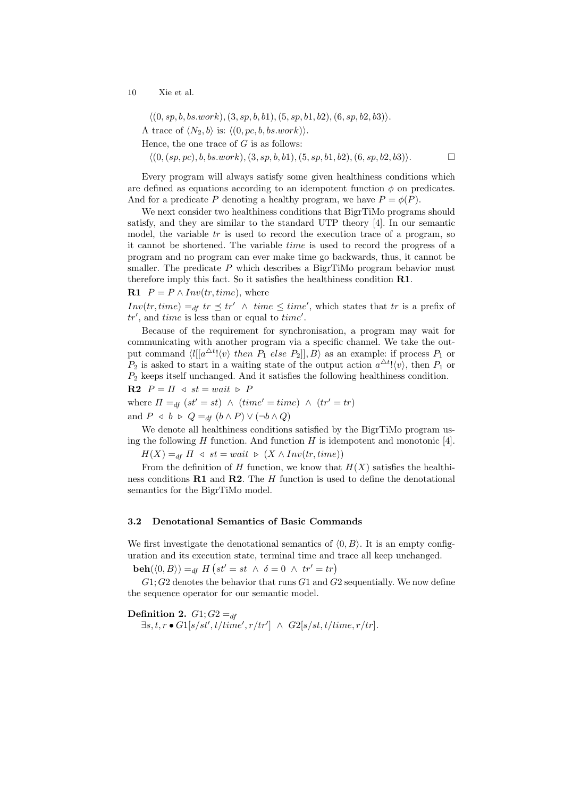$\langle (0, sp, b, bs. work), (3, sp, b, b1), (5, sp, b1, b2), (6, sp, b2, b3) \rangle.$ A trace of  $\langle N_2, b \rangle$  is:  $\langle (0, pc, b, bs.work) \rangle$ .

Hence, the one trace of  $G$  is as follows:

 $\langle (0, (sp, pc), b, bs. work), (3, sp, b, b1), (5, sp, b1, b2), (6, sp, b2, b3) \rangle.$ 

Every program will always satisfy some given healthiness conditions which are defined as equations according to an idempotent function  $\phi$  on predicates. And for a predicate P denoting a healthy program, we have  $P = \phi(P)$ .

We next consider two healthiness conditions that BigrTiMo programs should satisfy, and they are similar to the standard UTP theory [4]. In our semantic model, the variable  $tr$  is used to record the execution trace of a program, so it cannot be shortened. The variable time is used to record the progress of a program and no program can ever make time go backwards, thus, it cannot be smaller. The predicate  $P$  which describes a BigrTiMo program behavior must therefore imply this fact. So it satisfies the healthiness condition R1.

**R1**  $P = P \wedge Inv(tr, time),$  where

 $Inv(tr, time) =_{df} tr \preceq tr' \wedge time \preceq time',$  which states that tr is a prefix of  $tr'$ , and time is less than or equal to time'.

Because of the requirement for synchronisation, a program may wait for communicating with another program via a specific channel. We take the output command  $\langle l|[a^{\Delta t}! \langle v \rangle \ then \ P_1 \ else \ P_2]|, B \rangle$  as an example: if process  $P_1$  or  $P_2$  is asked to start in a waiting state of the output action  $a^{\Delta t}! \langle v \rangle$ , then  $P_1$  or  $P<sub>2</sub>$  keeps itself unchanged. And it satisfies the following healthiness condition.

**R2**  $P = \Pi \triangleleft st = wait \triangleright P$ where  $\Pi =_{df} (st' = st) \land (time' = time) \land (tr' = tr)$ and  $P \triangleleft b \triangleright Q =_{df} (b \wedge P) \vee (\neg b \wedge Q)$ 

We denote all healthiness conditions satisfied by the BigrTiMo program using the following  $H$  function. And function  $H$  is idempotent and monotonic [4].

 $H(X) =_{df} \Pi \triangleleft st = wait \triangleright (X \wedge Inv(tr, time))$ 

From the definition of H function, we know that  $H(X)$  satisfies the healthiness conditions  $\mathbf{R1}$  and  $\mathbf{R2}$ . The H function is used to define the denotational semantics for the BigrTiMo model.

#### 3.2 Denotational Semantics of Basic Commands

We first investigate the denotational semantics of  $(0, B)$ . It is an empty configuration and its execution state, terminal time and trace all keep unchanged.

 $\mathbf{beh}(\langle 0, B \rangle) =_{df} H \left( st' = st \ \land \ \delta = 0 \ \land \ tr' = tr \right)$ 

 $G1; G2$  denotes the behavior that runs  $G1$  and  $G2$  sequentially. We now define the sequence operator for our semantic model.

Definition 2.  $G1; G2 =_{df}$  $\exists s, t, r \bullet G1[s/st', t/time', r/tr'] \ \wedge \ G2[s/st, t/time, r/tr].$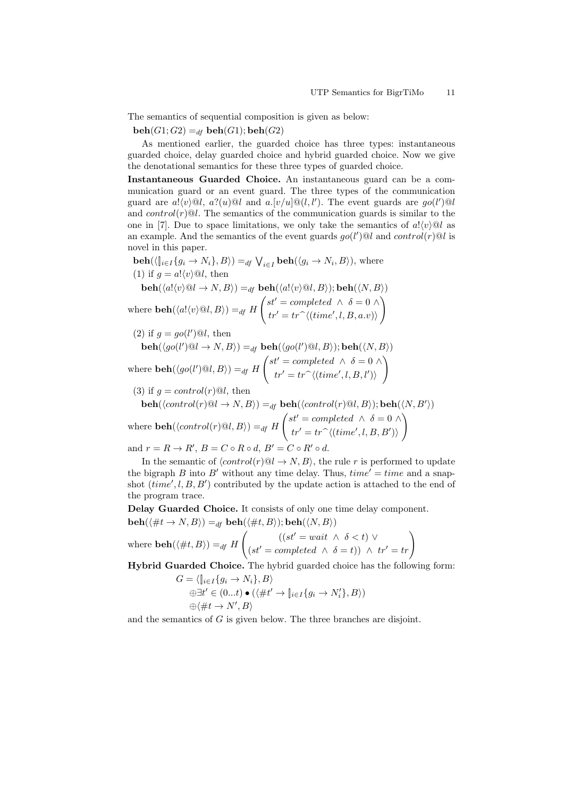The semantics of sequential composition is given as below:

 $\mathbf{beh}(G1; G2) =_{df} \mathbf{beh}(G1); \mathbf{beh}(G2)$ 

As mentioned earlier, the guarded choice has three types: instantaneous guarded choice, delay guarded choice and hybrid guarded choice. Now we give the denotational semantics for these three types of guarded choice.

Instantaneous Guarded Choice. An instantaneous guard can be a communication guard or an event guard. The three types of the communication guard are  $a!(v)@l$ ,  $a?(u)@l$  and  $a.[v/u]@(l, l')$ . The event guards are  $go(l')@l$ and  $control(r)@l$ . The semantics of the communication guards is similar to the one in [7]. Due to space limitations, we only take the semantics of  $a! \langle v \rangle \otimes l$  as an example. And the semantics of the event guards  $go(l')@l$  and  $control(r)@l$  is novel in this paper.

 $\mathbf{beh}(\langle [i \in I \{g_i \to N_i\}, B \rangle) =_{df} \bigvee_{i \in I} \mathbf{beh}(\langle g_i \to N_i, B \rangle),$  where (1) if  $g = a! \langle v \rangle \mathbb{Q}l$ , then

$$
\mathbf{beh}(\langle a! \langle v \rangle @ l \to N, B \rangle) =_{df} \mathbf{beh}(\langle a! \langle v \rangle @ l, B \rangle); \mathbf{beh}(\langle N, B \rangle)
$$
  
where 
$$
\mathbf{beh}(\langle a! \langle v \rangle @ l, B \rangle) =_{df} H \begin{pmatrix} st' = completed & \wedge & \delta = 0 & \wedge \\ tr' = tr^{\wedge}(\langle time', l, B, a.v \rangle) \end{pmatrix}
$$

(2) if 
$$
g = go(l')@l
$$
, then

$$
\mathbf{beh}(\langle go(l') \mathbb{Q}l \to N, B \rangle) =_{df} \mathbf{beh}(\langle go(l') \mathbb{Q}l, B \rangle); \mathbf{beh}(\langle N, B \rangle)
$$
\n
$$
\mathbf{v} \quad \begin{cases} st' = completed \ \land \ \delta = 0 \ \land \\ \end{cases}
$$

where  $\mathbf{beh}(\langle go(l')@l, B\rangle) =_{df} H$  $tr' = tr \hat{\ }} \langle (time', l, B, l') \rangle$ 

(3) if  $q = control(r) \mathcal{Q}l$ , then

$$
\mathbf{beh}(\langle control(r) \mathbb{Q}l \to N, B \rangle) =_{df} \mathbf{beh}(\langle control(r) \mathbb{Q}l, B \rangle); \mathbf{beh}(\langle N, B' \rangle)
$$
  
where 
$$
\mathbf{beh}(\langle control(r) \mathbb{Q}l, B \rangle) =_{df} H \begin{pmatrix} st' = completed & \wedge & \delta = 0 \\ tr' = tr^{\wedge}(\langle time', l, B, B' \rangle) \end{pmatrix}
$$
  
and 
$$
r = R \to R', B = C \circ R \circ d, B' = C \circ R' \circ d.
$$

In the semantic of  $\langle control(r) \mathbb{Q} \to N, B \rangle$ , the rule r is performed to update

the bigraph B into B' without any time delay. Thus,  $time' = time$  and a snapshot  $(time', l, B, B')$  contributed by the update action is attached to the end of the program trace.

Delay Guarded Choice. It consists of only one time delay component.  $\mathbf{beh}(\langle \#t \to N, B \rangle) =_{df} \mathbf{beh}(\langle \#t, B \rangle); \mathbf{beh}(\langle N, B \rangle)$ 

where 
$$
\text{beh}(\langle \#t, B \rangle) =_{df} H \left( (st' = wait \land \delta < t) \lor (st' = completed \land \delta = t) ) \land tr' = tr \right)
$$

Hybrid Guarded Choice. The hybrid guarded choice has the following form:  $G = \langle \mathbb{I}_{i \in I} \{a_i \rightarrow N \rangle \mid B \rangle$ 

$$
\begin{aligned}\n\pi &= \langle \mathbf{u}_i \in I \{ g_i \to N_i \}, B \rangle \\
& \oplus \exists t' \in (0...t) \bullet (\langle \# t' \to \mathbf{u}_i \in I \{ g_i \to N_i' \}, B \rangle) \\
& \oplus \langle \# t \to N', B \rangle\n\end{aligned}
$$

and the semantics of G is given below. The three branches are disjoint.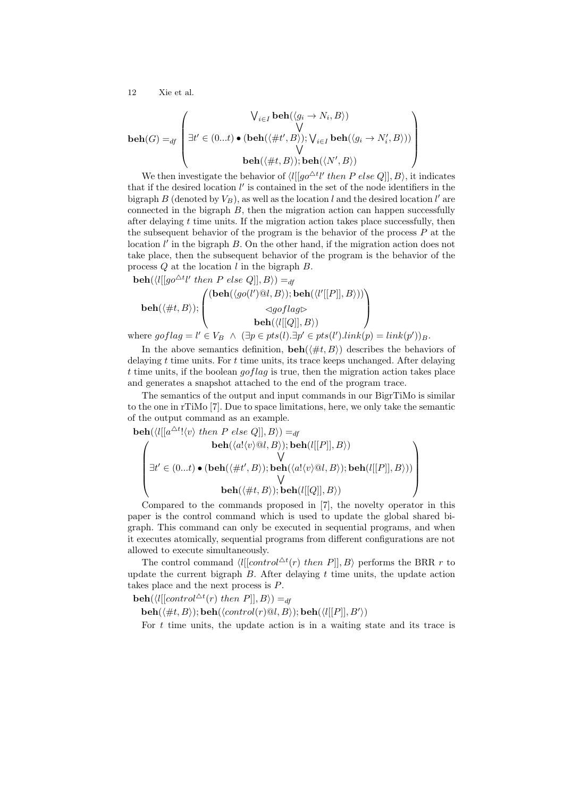$$
\mathbf{beh}(G) =_{df} \begin{pmatrix} \mathsf{V}_{i \in I} \mathbf{beh}(\langle g_i \to N_i, B \rangle) \\ \mathsf{V} \\ \exists t' \in (0...t) \bullet (\mathbf{beh}(\langle \# t', B \rangle); \mathsf{V}_{i \in I} \mathbf{ beh}(\langle g_i \to N'_i, B \rangle)) \\ \mathsf{V} \\ \mathbf{beh}(\langle \# t, B \rangle); \mathbf{beh}(\langle N', B \rangle) \end{pmatrix}
$$

We then investigate the behavior of  $\langle l[[go^{\Delta t}l' then P else Q]], B \rangle$ , it indicates that if the desired location  $l'$  is contained in the set of the node identifiers in the bigraph  $B$  (denoted by  $V_B$ ), as well as the location l and the desired location l' are connected in the bigraph  $B$ , then the migration action can happen successfully after delaying  $t$  time units. If the migration action takes place successfully, then the subsequent behavior of the program is the behavior of the process  $P$  at the location  $l'$  in the bigraph  $B$ . On the other hand, if the migration action does not take place, then the subsequent behavior of the program is the behavior of the process  $Q$  at the location  $l$  in the bigraph  $B$ .

 $\mathbf{beh}(\langle l[[go^{\triangle t}l' then P else Q]], B \rangle) =_{df}$  $\mathbf{beh}(\langle\#t,B\rangle);$  $\sqrt{ }$  $\left\lfloor \right\rfloor$  $\overline{\textbf{b}}(\textbf{beh}(\langle go(l')@l,B \rangle); \textbf{beh}(\langle l'[[P]], B \rangle))$  $\triangleleft goflag \triangleright$  $\mathbf{beh}(\langle l[[Q]], B \rangle)$  $\setminus$  $\Big\}$ 

where  $goflag = l' \in V_B \land (\exists p \in pts(l). \exists p' \in pts(l').link(p) = link(p'))_B.$ 

In the above semantics definition,  $\mathbf{beh}(\#t, B)$  describes the behaviors of delaying t time units. For t time units, its trace keeps unchanged. After delaying t time units, if the boolean gotlag is true, then the migration action takes place and generates a snapshot attached to the end of the program trace.

The semantics of the output and input commands in our BigrTiMo is similar to the one in rTiMo [7]. Due to space limitations, here, we only take the semantic of the output command as an example.

beh(hl[[a 4t !hvi then P else Q]], Bi) =df beh(ha!hvi@l, Bi); beh(l[[P]], Bi) W ∃t <sup>0</sup> ∈ (0...t) • (beh(h#t 0 , Bi); beh(ha!hvi@l, Bi); beh(l[[P]], Bi)) W beh(h#t, Bi); beh(l[[Q]], Bi) 

Compared to the commands proposed in [7], the novelty operator in this paper is the control command which is used to update the global shared bigraph. This command can only be executed in sequential programs, and when it executes atomically, sequential programs from different configurations are not allowed to execute simultaneously.

The control command  $\langle l[[control^{\Delta t}(r) then P]], B \rangle$  performs the BRR r to update the current bigraph  $B$ . After delaying  $t$  time units, the update action takes place and the next process is  $P$ .

 $\mathbf{beh}(\langle l[[control^{\triangle t}(r) then P]], B \rangle) =_{df}$ 

 $\mathbf{beh}(\langle\#t, B\rangle); \mathbf{beh}(\langle control(r) \mathbb{Q}l, B\rangle); \mathbf{beh}(\langle l[[P]], B'\rangle)$ 

For  $t$  time units, the update action is in a waiting state and its trace is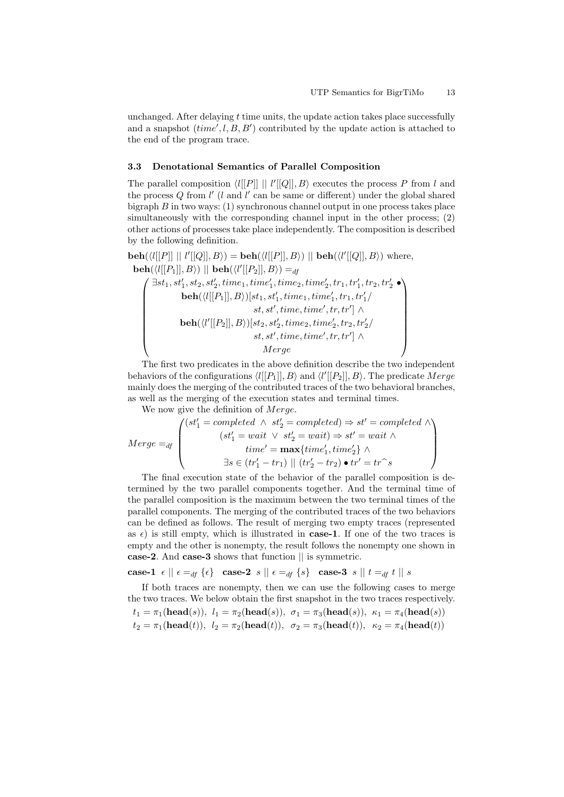unchanged. After delaying t time units, the update action takes place successfully and a snapshot  $(time', l, B, B')$  contributed by the update action is attached to the end of the program trace.

#### 3.3 Denotational Semantics of Parallel Composition

The parallel composition  $\langle l[[P]] || l'[[Q]], B \rangle$  executes the process P from l and the process  $Q$  from  $l'$  (l and l' can be same or different) under the global shared bigraph  $B$  in two ways: (1) synchronous channel output in one process takes place simultaneously with the corresponding channel input in the other process; (2) other actions of processes take place independently. The composition is described by the following definition.

 $\mathbf{beh}(\langle l[[P]] \mid l'[[Q]], B \rangle) = \mathbf{beh}(\langle l[[P]], B \rangle) \mid \mathbf{beh}(\langle l'[[Q]], B \rangle) \text{ where,}$  $\mathbf{beh}(\langle l[[P_1]], B \rangle) \; || \; \mathbf{beh}(\langle l'[[P_2]], B \rangle) =_{df}$ 

$$
\left(\begin{array}{c}\exists st_1, st_1', st_2, st_2', time_1, time_1', time_2, time_2', tr_1, tr_1', tr_2, tr_2'\bullet\\ \mathbf{beh}(\langle l[[P_1]], B\rangle)[st_1, st_1', time_1, time_1', tr_1, tr_1'/\\ st, st', time, time', tr, tr'] \wedge\\ \mathbf{beh}(\langle l'[[P_2]], B\rangle)[st_2, st_2', time_2, time_2', tr_2, tr_2'/\\ st, st', time, time', tr, tr'] \wedge\\ \mathbf{Merge}\end{array}\right)
$$

The first two predicates in the above definition describe the two independent behaviors of the configurations  $\langle l[[P_1]], B \rangle$  and  $\langle l'[[P_2]], B \rangle$ . The predicate  $Merge$ mainly does the merging of the contributed traces of the two behavioral branches, as well as the merging of the execution states and terminal times.

We now give the definition of *Merge*.

$$
Merge =_{df} \begin{pmatrix} (st'_1 = completed \land st'_2 = completed) \Rightarrow st' = completed \land \\ (st'_1 = wait \lor st'_2 = wait) \Rightarrow st' = wait \land \\ time' = \max\{time'_1, time'_2\} \land \\ \exists s \in (tr'_1 - tr_1) \mid \mid (tr'_2 - tr_2) \bullet tr' = tr \hat{\ } s \end{pmatrix}
$$

The final execution state of the behavior of the parallel composition is determined by the two parallel components together. And the terminal time of the parallel composition is the maximum between the two terminal times of the parallel components. The merging of the contributed traces of the two behaviors can be defined as follows. The result of merging two empty traces (represented as  $\epsilon$ ) is still empty, which is illustrated in **case-1**. If one of the two traces is empty and the other is nonempty, the result follows the nonempty one shown in case-2. And case-3 shows that function || is symmetric.

case-1  $\epsilon \parallel \epsilon =_{df} {\epsilon}$  case-2  $s \parallel \epsilon =_{df} {\epsilon}$  case-3  $s \parallel t =_{df} t \parallel s$ 

If both traces are nonempty, then we can use the following cases to merge the two traces. We below obtain the first snapshot in the two traces respectively.  $\left(\mathbf{h} = \mathbf{d}(s)\right)$ , l<sub>1</sub> =  $\left(\mathbf{h} = \mathbf{d}(s)\right)$ , σ<sub>1</sub> =  $\left(\mathbf{h} = \mathbf{d}(s)\right)$ , κ<sub>1</sub> =  $\left(\mathbf{h} = \mathbf{d}(s)\right)$ 

$$
t_1 = \pi_1(\text{head}(s)), \ t_1 = \pi_2(\text{head}(s)), \ \sigma_1 = \pi_3(\text{head}(s)), \ \kappa_1 = \pi_4(\text{head}(s))
$$
  

$$
t_2 = \pi_1(\text{head}(t)), \ t_2 = \pi_2(\text{head}(t)), \ \sigma_2 = \pi_3(\text{head}(t)), \ \kappa_2 = \pi_4(\text{head}(t))
$$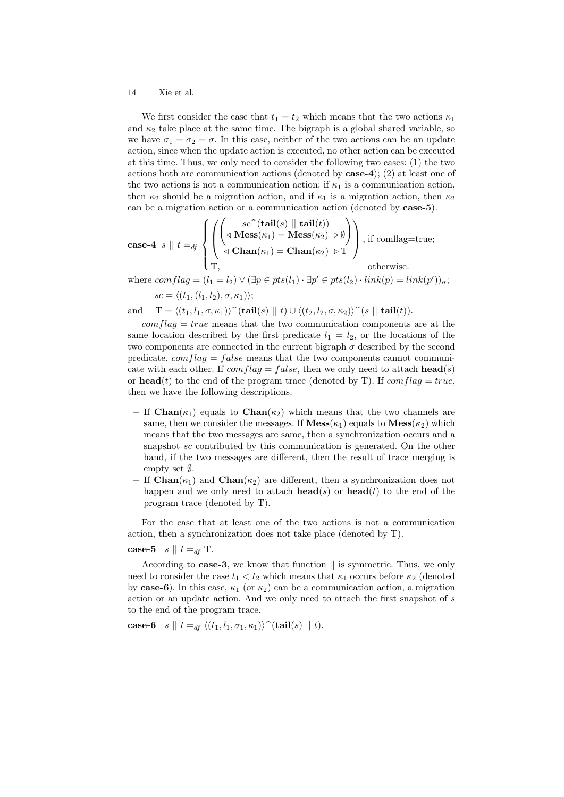We first consider the case that  $t_1 = t_2$  which means that the two actions  $\kappa_1$ and  $\kappa_2$  take place at the same time. The bigraph is a global shared variable, so we have  $\sigma_1 = \sigma_2 = \sigma$ . In this case, neither of the two actions can be an update action, since when the update action is executed, no other action can be executed at this time. Thus, we only need to consider the following two cases: (1) the two actions both are communication actions (denoted by case-4); (2) at least one of the two actions is not a communication action: if  $\kappa_1$  is a communication action, then  $\kappa_2$  should be a migration action, and if  $\kappa_1$  is a migration action, then  $\kappa_2$ can be a migration action or a communication action (denoted by case-5).

case-4 
$$
s \parallel t =_{df} \left\{ \left( \left( \text{S} \left( \text{tail}(s) \parallel \text{tail}(t) \right) \setminus \text{tail}(t) \right) \right), \text{ if } \text{condlag=true}; \right\}
$$
  
\n $\left( \text{cl. } \text{Man}(\kappa_1) = \text{Chan}(\kappa_2) \triangleright \text{T} \right), \text{ if } \text{condlag=true}; \right\}$ 

where  $conflag = (l_1 = l_2) \vee (\exists p \in pts(l_1) \cdot \exists p' \in pts(l_2) \cdot link(p) = link(p'))_{\sigma}$ ;  $sc = \langle (t_1, (l_1, l_2), \sigma, \kappa_1) \rangle;$ 

and  $T = \langle (t_1, l_1, \sigma, \kappa_1) \rangle \hat{\ }$ (tail(s)  $|| t \rangle \cup \langle (t_2, l_2, \sigma, \kappa_2) \rangle \hat{\ } (s || \text{tail}(t)).$ 

 $conflag = true$  means that the two communication components are at the same location described by the first predicate  $l_1 = l_2$ , or the locations of the two components are connected in the current bigraph  $\sigma$  described by the second predicate.  $comflag = false$  means that the two components cannot communicate with each other. If  $comflag = false$ , then we only need to attach **head**(s) or **head**(t) to the end of the program trace (denoted by T). If  $comflag = true$ , then we have the following descriptions.

- If  $\text{Chan}(\kappa_1)$  equals to  $\text{Chan}(\kappa_2)$  which means that the two channels are same, then we consider the messages. If  $\mathbf{Mess}(\kappa_1)$  equals to  $\mathbf{Mess}(\kappa_2)$  which means that the two messages are same, then a synchronization occurs and a snapshot sc contributed by this communication is generated. On the other hand, if the two messages are different, then the result of trace merging is empty set ∅.
- If  $\text{Chan}(\kappa_1)$  and  $\text{Chan}(\kappa_2)$  are different, then a synchronization does not happen and we only need to attach  $head(s)$  or  $head(t)$  to the end of the program trace (denoted by T).

For the case that at least one of the two actions is not a communication action, then a synchronization does not take place (denoted by T).

case-5  $s \parallel t =_{df} T$ .

According to case-3, we know that function || is symmetric. Thus, we only need to consider the case  $t_1 < t_2$  which means that  $\kappa_1$  occurs before  $\kappa_2$  (denoted by case-6). In this case,  $\kappa_1$  (or  $\kappa_2$ ) can be a communication action, a migration action or an update action. And we only need to attach the first snapshot of s to the end of the program trace.

**case-6** 
$$
s \parallel t =_{df} \langle (t_1, l_1, \sigma_1, \kappa_1) \rangle \hat{\ }
$$
(**tail**( $s \parallel t$ ).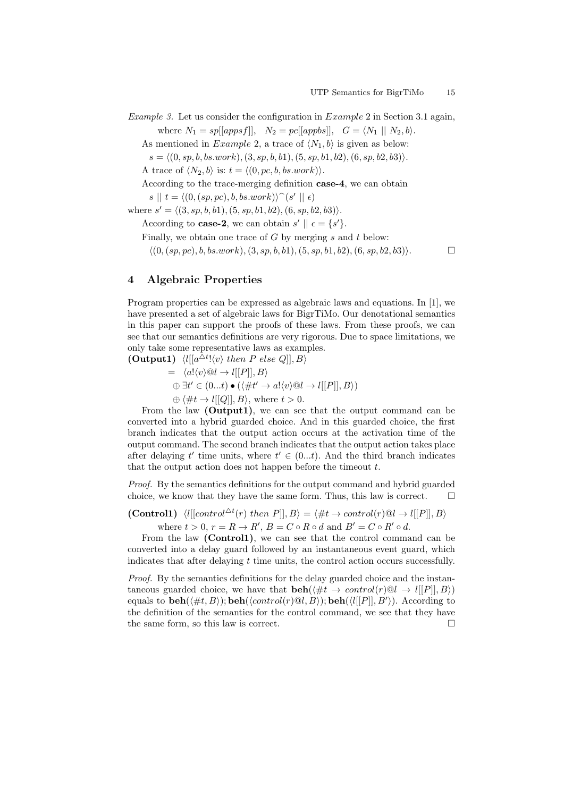Example 3. Let us consider the configuration in Example 2 in Section 3.1 again, where  $N_1 = sp[|appsf|], N_2 = pc[|appbs|], G = \langle N_1 | | N_2, b \rangle.$ 

As mentioned in *Example 2*, a trace of  $\langle N_1, b \rangle$  is given as below:

 $s = \langle (0, sp, b, bs. work), (3, sp, b, b1), (5, sp, b1, b2), (6, sp, b2, b3) \rangle.$ 

A trace of  $\langle N_2, b \rangle$  is:  $t = \langle (0, pc, b, bs.work) \rangle$ .

According to the trace-merging definition case-4, we can obtain

 $s \parallel t = \langle (0, (sp, pc), b, bs. work) \rangle \hat{ } (s' \parallel \epsilon)$ 

where  $s' = \langle (3, sp, b, b1), (5, sp, b1, b2), (6, sp, b2, b3) \rangle$ .

According to **case-2**, we can obtain  $s' \parallel \epsilon = \{s'\}.$ 

Finally, we obtain one trace of  $G$  by merging  $s$  and  $t$  below:

 $\langle (0, (sp, pc), b, bs. work), (3, sp, b, b1), (5, sp, b1, b2), (6, sp, b2, b3) \rangle.$ 

# 4 Algebraic Properties

Program properties can be expressed as algebraic laws and equations. In [1], we have presented a set of algebraic laws for BigrTiMo. Our denotational semantics in this paper can support the proofs of these laws. From these proofs, we can see that our semantics definitions are very rigorous. Due to space limitations, we only take some representative laws as examples. (Output1)  $\langle l|[a^{\Delta t}! \langle v \rangle \text{ then } P \text{ else } Q]|, B \rangle$ 

 $= \langle a! \langle v \rangle \mathbb{Q} l \rightarrow l[[P]], B \rangle$  $\oplus \exists t' \in (0...t) \bullet (\langle \# t' \to a! \langle v \rangle \mathbb{Q} l \to l[[P]], B \rangle)$  $\oplus \langle \#t \to l[[Q]], B \rangle$ , where  $t > 0$ .

From the law (Output1), we can see that the output command can be converted into a hybrid guarded choice. And in this guarded choice, the first branch indicates that the output action occurs at the activation time of the output command. The second branch indicates that the output action takes place after delaying t' time units, where  $t' \in (0...t)$ . And the third branch indicates that the output action does not happen before the timeout  $t$ .

Proof. By the semantics definitions for the output command and hybrid guarded choice, we know that they have the same form. Thus, this law is correct.  $\Box$ 

(Control1)  $\langle l[[control^{\Delta t}(r) then P]], B \rangle = \langle \#t \to control(r) @ l \to l[[P]], B \rangle$ where  $t > 0$ ,  $r = R \rightarrow R'$ ,  $B = C \circ R \circ d$  and  $B' = C \circ R' \circ d$ .

From the law (Control1), we can see that the control command can be converted into a delay guard followed by an instantaneous event guard, which indicates that after delaying  $t$  time units, the control action occurs successfully.

Proof. By the semantics definitions for the delay guarded choice and the instantaneous guarded choice, we have that  $\mathbf{beh}(\#t \to control(r) \mathcal{Q}l \to l[[P]], B)$ equals to  $\mathbf{beh}(\langle \#t, B \rangle); \mathbf{beh}(\langle \text{control}(r) \mathcal{Q}l, B \rangle); \mathbf{beh}(\langle l[[P]], B' \rangle).$  According to the definition of the semantics for the control command, we see that they have the same form, so this law is correct.